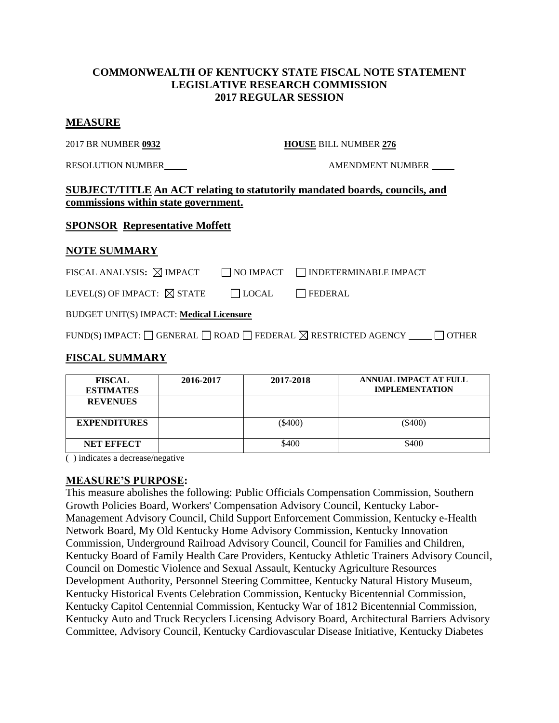### **COMMONWEALTH OF KENTUCKY STATE FISCAL NOTE STATEMENT LEGISLATIVE RESEARCH COMMISSION 2017 REGULAR SESSION**

#### **MEASURE**

2017 BR NUMBER **0932 HOUSE** BILL NUMBER **276**

RESOLUTION NUMBER AMENDMENT NUMBER

## **SUBJECT/TITLE An ACT relating to statutorily mandated boards, councils, and commissions within state government.**

### **SPONSOR Representative Moffett**

### **NOTE SUMMARY**

| FISCAL ANALYSIS: $\boxtimes$ IMPACT   |              | $\Box$ NO IMPACT $\Box$ INDETERMINABLE IMPACT |
|---------------------------------------|--------------|-----------------------------------------------|
| LEVEL(S) OF IMPACT: $\boxtimes$ STATE | $\Box$ LOCAL | <b>FEDERAL</b>                                |

| LEVEL(S) OF INITAULE $\boxtimes$ SIAIE | $ $ $ $ LOCAL | ╶╷└─┐┰ |
|----------------------------------------|---------------|--------|
|                                        |               |        |

BUDGET UNIT(S) IMPACT: **Medical Licensure**

| FUND(S) IMPACT: $\Box$ GENERAL $\Box$ ROAD $\Box$ FEDERAL $\boxtimes$ RESTRICTED AGENCY |  |  | $\Box$ OTHER |
|-----------------------------------------------------------------------------------------|--|--|--------------|
|-----------------------------------------------------------------------------------------|--|--|--------------|

# **FISCAL SUMMARY**

| <b>FISCAL</b><br><b>ESTIMATES</b> | 2016-2017 | 2017-2018 | <b>ANNUAL IMPACT AT FULL</b><br><b>IMPLEMENTATION</b> |
|-----------------------------------|-----------|-----------|-------------------------------------------------------|
| <b>REVENUES</b>                   |           |           |                                                       |
| <b>EXPENDITURES</b>               |           | $(\$400)$ | $(\$400)$                                             |
| <b>NET EFFECT</b>                 |           | \$400     | \$400                                                 |

( ) indicates a decrease/negative

#### **MEASURE'S PURPOSE:**

This measure abolishes the following: Public Officials Compensation Commission, Southern Growth Policies Board, Workers' Compensation Advisory Council, Kentucky Labor-Management Advisory Council, Child Support Enforcement Commission, Kentucky e-Health Network Board, My Old Kentucky Home Advisory Commission, Kentucky Innovation Commission, Underground Railroad Advisory Council, Council for Families and Children, Kentucky Board of Family Health Care Providers, Kentucky Athletic Trainers Advisory Council, Council on Domestic Violence and Sexual Assault, Kentucky Agriculture Resources Development Authority, Personnel Steering Committee, Kentucky Natural History Museum, Kentucky Historical Events Celebration Commission, Kentucky Bicentennial Commission, Kentucky Capitol Centennial Commission, Kentucky War of 1812 Bicentennial Commission, Kentucky Auto and Truck Recyclers Licensing Advisory Board, Architectural Barriers Advisory Committee, Advisory Council, Kentucky Cardiovascular Disease Initiative, Kentucky Diabetes